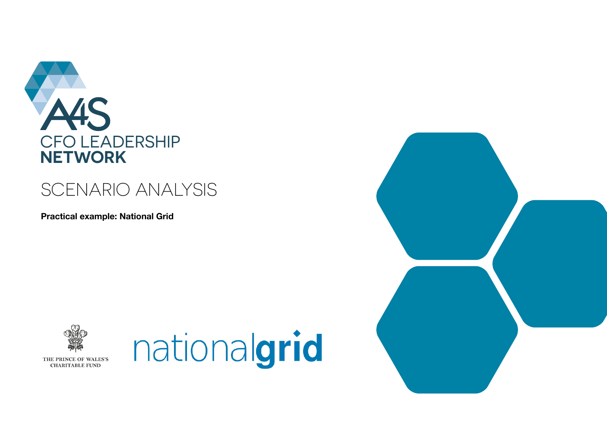

## SCENARIO ANALYSIS

**Practical example: National Grid**





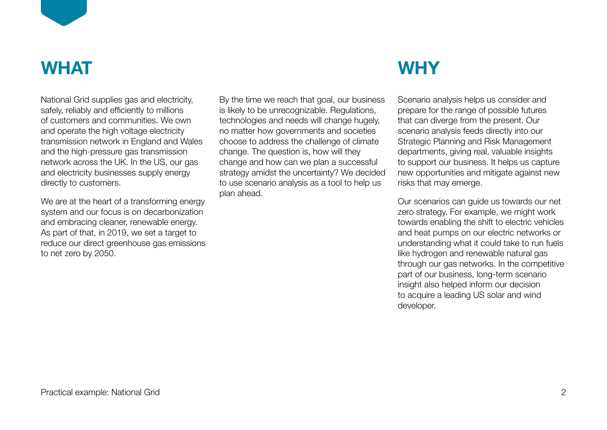

## **WHAT**

National Grid supplies gas and electricity, safely, reliably and efficiently to millions of customers and communities. We own and operate the high voltage electricity transmission network in England and Wales and the high-pressure gas transmission network across the UK. In the US, our gas and electricity businesses supply energy directly to customers.

We are at the heart of a transforming energy system and our focus is on decarbonization and embracing cleaner, renewable energy. As part of that, in 2019, we set a target to reduce our direct greenhouse gas emissions to net zero by 2050.

By the time we reach that goal, our business is likely to be unrecognizable. Regulations, technologies and needs will change hugely, no matter how governments and societies choose to address the challenge of climate change. The question is, how will they change and how can we plan a successful strategy amidst the uncertainty? We decided to use scenario analysis as a tool to help us plan ahead.

# **WHY**

Scenario analysis helps us consider and prepare for the range of possible futures that can diverge from the present. Our scenario analysis feeds directly into our Strategic Planning and Risk Management departments, giving real, valuable insights to support our business. It helps us capture new opportunities and mitigate against new risks that may emerge.

Our scenarios can guide us towards our net zero strategy. For example, we might work towards enabling the shift to electric vehicles and heat pumps on our electric networks or understanding what it could take to run fuels like hydrogen and renewable natural gas through our gas networks. In the competitive part of our business, long-term scenario insight also helped inform our decision to acquire a leading US solar and wind developer.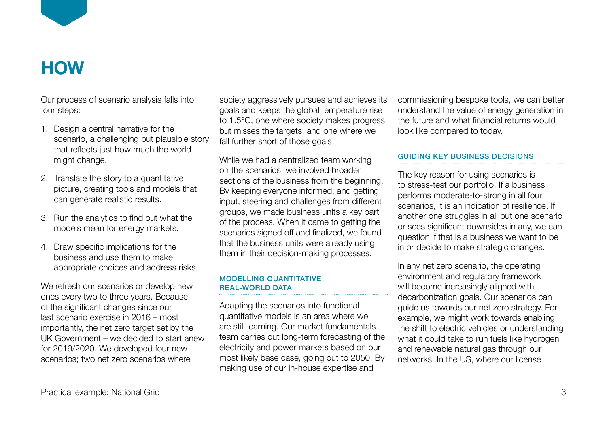

# **HOW**

Our process of scenario analysis falls into four steps:

- 1. Design a central narrative for the scenario, a challenging but plausible story that reflects just how much the world might change.
- 2. Translate the story to a quantitative picture, creating tools and models that can generate realistic results.
- 3. Run the analytics to find out what the models mean for energy markets.
- 4. Draw specific implications for the business and use them to make appropriate choices and address risks.

We refresh our scenarios or develop new ones every two to three years. Because of the significant changes since our last scenario exercise in 2016 – most importantly, the net zero target set by the UK Government – we decided to start anew for 2019/2020. We developed four new scenarios; two net zero scenarios where

society aggressively pursues and achieves its goals and keeps the global temperature rise to 1.5°C, one where society makes progress but misses the targets, and one where we fall further short of those goals.

While we had a centralized team working on the scenarios, we involved broader sections of the business from the beginning. By keeping everyone informed, and getting input, steering and challenges from different groups, we made business units a key part of the process. When it came to getting the scenarios signed off and finalized, we found that the business units were already using them in their decision-making processes.

#### MODELLING QUANTITATIVE REAL-WORLD DATA

Adapting the scenarios into functional quantitative models is an area where we are still learning. Our market fundamentals team carries out long-term forecasting of the electricity and power markets based on our most likely base case, going out to 2050. By making use of our in-house expertise and

commissioning bespoke tools, we can better understand the value of energy generation in the future and what financial returns would look like compared to today.

#### GUIDING KEY BUSINESS DECISIONS

The key reason for using scenarios is to stress-test our portfolio. If a business performs moderate-to-strong in all four scenarios, it is an indication of resilience. If another one struggles in all but one scenario or sees significant downsides in any, we can question if that is a business we want to be in or decide to make strategic changes.

In any net zero scenario, the operating environment and regulatory framework will become increasingly aligned with decarbonization goals. Our scenarios can guide us towards our net zero strategy. For example, we might work towards enabling the shift to electric vehicles or understanding what it could take to run fuels like hydrogen and renewable natural gas through our networks. In the US, where our license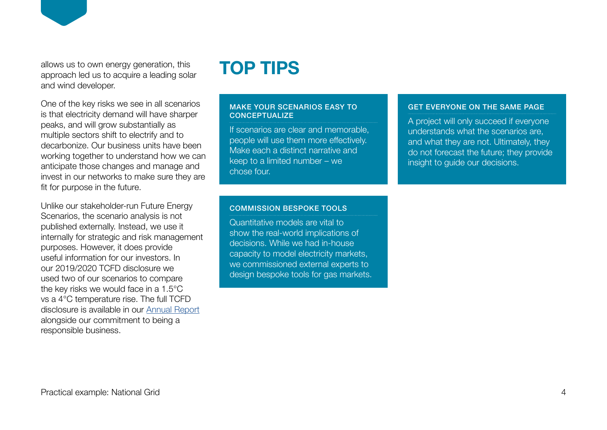allows us to own energy generation, this approach led us to acquire a leading solar and wind developer.

One of the key risks we see in all scenarios is that electricity demand will have sharper peaks, and will grow substantially as multiple sectors shift to electrify and to decarbonize. Our business units have been working together to understand how we can anticipate those changes and manage and invest in our networks to make sure they are fit for purpose in the future.

Unlike our stakeholder-run Future Energy Scenarios, the scenario analysis is not published externally. Instead, we use it internally for strategic and risk management purposes. However, it does provide useful information for our investors. In our 2019/2020 TCFD disclosure we used two of our scenarios to compare the key risks we would face in a 1.5°C vs a 4°C temperature rise. The full TCFD disclosure is available in our [Annual Report](https://www.nationalgrid.com/document/133101/download) alongside our commitment to being a responsible business.

## **TOP TIPS**

#### MAKE YOUR SCENARIOS EASY TO **CONCEPTUALIZE**

If scenarios are clear and memorable, people will use them more effectively. Make each a distinct narrative and keep to a limited number – we chose four.

#### GET EVERYONE ON THE SAME PAGE

A project will only succeed if everyone understands what the scenarios are, and what they are not. Ultimately, they do not forecast the future; they provide insight to guide our decisions.

#### COMMISSION BESPOKE TOOLS

Quantitative models are vital to show the real-world implications of decisions. While we had in-house capacity to model electricity markets, we commissioned external experts to design bespoke tools for gas markets.